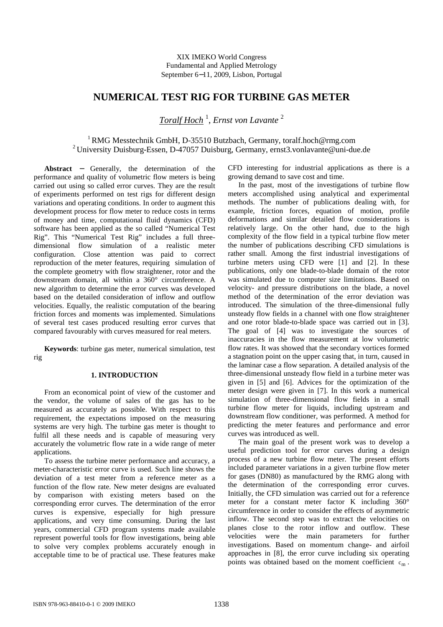# **NUMERICAL TEST RIG FOR TURBINE GAS METER**

*Toralf Hoch* <sup>1</sup> , *Ernst von Lavante* <sup>2</sup>

## <sup>1</sup>RMG Messtechnik GmbH, D-35510 Butzbach, Germany, toralf.hoch@rmg.com <sup>2</sup> University Duisburg-Essen, D-47057 Duisburg, Germany, ernst3.vonlavante@uni-due.de

**Abstract** − Generally, the determination of the performance and quality of volumetric flow meters is being carried out using so called error curves. They are the result of experiments performed on test rigs for different design variations and operating conditions. In order to augment this development process for flow meter to reduce costs in terms of money and time, computational fluid dynamics (CFD) software has been applied as the so called "Numerical Test Rig". This "Numerical Test Rig" includes a full threedimensional flow simulation of a realistic meter configuration. Close attention was paid to correct reproduction of the meter features, requiring simulation of the complete geometry with flow straightener, rotor and the downstream domain, all within a 360° circumference. A new algorithm to determine the error curves was developed based on the detailed consideration of inflow and outflow velocities. Equally, the realistic computation of the bearing friction forces and moments was implemented. Simulations of several test cases produced resulting error curves that compared favourably with curves measured for real meters.

**Keywords**: turbine gas meter, numerical simulation, test rig

## **1. INTRODUCTION**

From an economical point of view of the customer and the vendor, the volume of sales of the gas has to be measured as accurately as possible. With respect to this requirement, the expectations imposed on the measuring systems are very high. The turbine gas meter is thought to fulfil all these needs and is capable of measuring very accurately the volumetric flow rate in a wide range of meter applications.

To assess the turbine meter performance and accuracy, a meter-characteristic error curve is used. Such line shows the deviation of a test meter from a reference meter as a function of the flow rate. New meter designs are evaluated by comparison with existing meters based on the corresponding error curves. The determination of the error curves is expensive, especially for high pressure applications, and very time consuming. During the last years, commercial CFD program systems made available represent powerful tools for flow investigations, being able to solve very complex problems accurately enough in acceptable time to be of practical use. These features make

CFD interesting for industrial applications as there is a growing demand to save cost and time.

In the past, most of the investigations of turbine flow meters accomplished using analytical and experimental methods. The number of publications dealing with, for example, friction forces, equation of motion, profile deformations and similar detailed flow considerations is relatively large. On the other hand, due to the high complexity of the flow field in a typical turbine flow meter the number of publications describing CFD simulations is rather small. Among the first industrial investigations of turbine meters using CFD were [1] and [2]. In these publications, only one blade-to-blade domain of the rotor was simulated due to computer size limitations. Based on velocity- and pressure distributions on the blade, a novel method of the determination of the error deviation was introduced. The simulation of the three-dimensional fully unsteady flow fields in a channel with one flow straightener and one rotor blade-to-blade space was carried out in [3]. The goal of [4] was to investigate the sources of inaccuracies in the flow measurement at low volumetric flow rates. It was showed that the secondary vortices formed a stagnation point on the upper casing that, in turn, caused in the laminar case a flow separation. A detailed analysis of the three-dimensional unsteady flow field in a turbine meter was given in [5] and [6]. Advices for the optimization of the meter design were given in [7]. In this work a numerical simulation of three-dimensional flow fields in a small turbine flow meter for liquids, including upstream and downstream flow conditioner, was performed. A method for predicting the meter features and performance and error curves was introduced as well.

The main goal of the present work was to develop a useful prediction tool for error curves during a design process of a new turbine flow meter. The present efforts included parameter variations in a given turbine flow meter for gases (DN80) as manufactured by the RMG along with the determination of the corresponding error curves. Initially, the CFD simulation was carried out for a reference meter for a constant meter factor K including 360° circumference in order to consider the effects of asymmetric inflow. The second step was to extract the velocities on planes close to the rotor inflow and outflow. These velocities were the main parameters for further investigations. Based on momentum change- and airfoil approaches in [8], the error curve including six operating points was obtained based on the moment coefficient  $c_m$ .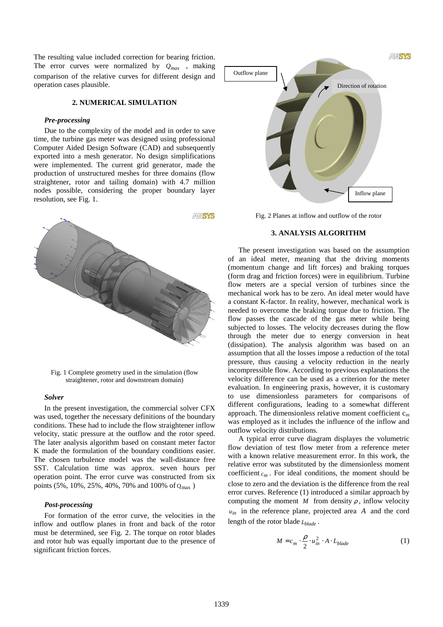The resulting value included correction for bearing friction. The error curves were normalized by  $Q_{max}$ , making comparison of the relative curves for different design and operation cases plausible.

## **2. NUMERICAL SIMULATION**

#### *Pre-processing*

Due to the complexity of the model and in order to save time, the turbine gas meter was designed using professional Computer Aided Design Software (CAD) and subsequently exported into a mesh generator. No design simplifications were implemented. The current grid generator, made the production of unstructured meshes for three domains (flow straightener, rotor and tailing domain) with 4.7 million nodes possible, considering the proper boundary layer resolution, see Fig. 1.



Fig. 1 Complete geometry used in the simulation (flow straightener, rotor and downstream domain)

#### *Solver*

In the present investigation, the commercial solver CFX was used, together the necessary definitions of the boundary conditions. These had to include the flow straightener inflow velocity, static pressure at the outflow and the rotor speed. The later analysis algorithm based on constant meter factor K made the formulation of the boundary conditions easier. The chosen turbulence model was the wall-distance free SST. Calculation time was approx. seven hours per operation point. The error curve was constructed from six points (5%, 10%, 25%, 40%, 70% and 100% of  $Q_{\text{max}}$ )

#### *Post-processing*

For formation of the error curve, the velocities in the inflow and outflow planes in front and back of the rotor must be determined, see Fig. 2. The torque on rotor blades and rotor hub was equally important due to the presence of significant friction forces.



Fig. 2 Planes at inflow and outflow of the rotor

### **3. ANALYSIS ALGORITHM**

The present investigation was based on the assumption of an ideal meter, meaning that the driving moments (momentum change and lift forces) and braking torques (form drag and friction forces) were in equilibrium. Turbine flow meters are a special version of turbines since the mechanical work has to be zero. An ideal meter would have a constant K-factor. In reality, however, mechanical work is needed to overcome the braking torque due to friction. The flow passes the cascade of the gas meter while being subjected to losses. The velocity decreases during the flow through the meter due to energy conversion in heat (dissipation). The analysis algorithm was based on an assumption that all the losses impose a reduction of the total pressure, thus causing a velocity reduction in the nearly incompressible flow. According to previous explanations the velocity difference can be used as a criterion for the meter evaluation. In engineering praxis, however, it is customary to use dimensionless parameters for comparisons of different configurations, leading to a somewhat different approach. The dimensionless relative moment coefficient  $c_m$ was employed as it includes the influence of the inflow and outflow velocity distributions.

A typical error curve diagram displayes the volumetric flow deviation of test flow meter from a reference meter with a known relative measurement error. In this work, the relative error was substituted by the dimensionless moment coefficient  $c_m$ . For ideal conditions, the moment should be close to zero and the deviation is the difference from the real error curves. Reference (1) introduced a similar approach by computing the moment *M* from density  $\rho$ , inflow velocity  $u_{in}$  in the reference plane, projected area *A* and the cord length of the rotor blade *Lblade* .

$$
M = c_m \cdot \frac{\rho}{2} \cdot u_{in}^2 \cdot A \cdot L_{black}
$$
 (1)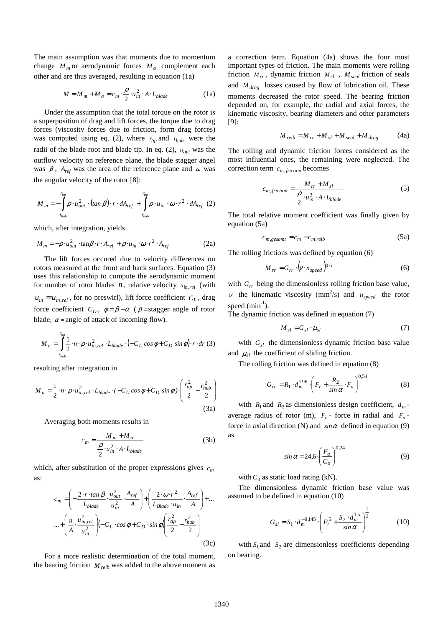The main assumption was that moments due to momentum change  $M_m$  or aerodynamic forces  $M_a$  complement each other and are thus averaged, resulting in equation (1a)

$$
M = M_m + M_a = c_m \cdot \frac{\rho}{2} \cdot u_{in}^2 \cdot A \cdot L_{black}
$$
 (1a)

Under the assumption that the total torque on the rotor is a superposition of drag and lift forces, the torque due to drag forces (viscosity forces due to friction, form drag forces) was computed using eq. (2), where  $r_{tip}$  and  $r_{hub}$  were the radii of the blade root and blade tip. In eq. (2), *uout* was the outflow velocity on reference plane, the blade stagger angel was  $\beta$ ,  $A_{ref}$  was the area of the reference plane and  $\omega$  was the angular velocity of the rotor [8]:

$$
M_{m} = -\int_{r_{hub}}^{r_{inp}} \rho \cdot u_{out}^{2} \cdot (tan \beta) \cdot r \cdot dA_{ref} + \int_{r_{hub}}^{r_{inp}} \rho \cdot u_{in} \cdot \omega \cdot r^{2} \cdot dA_{ref} (2)
$$

which, after integration, yields

$$
M_m = -\rho \cdot u_{out}^2 \cdot \tan\beta \cdot r \cdot A_{ref} + \rho \cdot u_{in} \cdot \omega \cdot r^2 \cdot A_{ref}
$$
 (2a)

The lift forces occured due to velocity differences on rotors measured at the front and back surfaces. Equation (3) uses this relationship to compute the aerodynamic moment for number of rotor blades  $n$ , relative velocity  $u_{in,rel}$  (with  $u_{in} = u_{in, rel}$ , for no preswirl), lift force coefficient  $C_L$ , drag force coefficient  $C_D$ ,  $\phi = \beta - \alpha$  ( $\beta$  = stagger angle of rotor blade,  $\alpha$  = angle of attack of incoming flow).

$$
M_{a} = \int_{r_{hub}}^{r_{tip}} \frac{1}{2} \cdot n \cdot \rho \cdot u_{in, rel}^{2} \cdot L_{blade} \cdot (-C_{L} \cos \phi + C_{D} \sin \phi) \cdot r \cdot dr \text{ (3)}
$$

resulting after integration in

$$
M_{a} = \frac{1}{2} \cdot n \cdot \rho \cdot u_{in,rel}^{2} \cdot L_{black} \cdot (-C_{L} \cos \phi + C_{D} \sin \phi) \cdot \left(\frac{r_{tip}^{2}}{2} - \frac{r_{hub}^{2}}{2}\right)
$$
\n(3a)

Averaging both moments results in

$$
c_m = \frac{M_m + M_a}{\frac{\rho}{2} \cdot u_m^2 \cdot A \cdot L_{black}}
$$
 (3b)

which, after substitution of the proper expressions gives *c<sup>m</sup>* as:

$$
c_m = \left(-\frac{2 \cdot r \cdot \tan \beta}{L_{black}} \cdot \frac{u_{out}^2}{u_{in}^2} \cdot \frac{A_{ref}}{A}\right) + \left(\frac{2 \cdot \omega \cdot r^2}{L_{Blade} \cdot u_{in}} \cdot \frac{A_{ref}}{A}\right) + \dots
$$

$$
\dots + \left(\frac{n}{A} \cdot \frac{u_{in,rel}^2}{u_{in}^2}\right) \left(-C_L \cdot \cos \phi + C_D \cdot \sin \phi\right) \left(\frac{r_{up}^2}{2} - \frac{r_{hub}^2}{2}\right) \tag{3c}
$$

For a more realistic determination of the total moment, the bearing friction  $M_{reib}$  was added to the above moment as a correction term. Equation (4a) shows the four most important types of friction. The main moments were rolling friction  $M_{rr}$ , dynamic friction  $M_{sl}$ ,  $M_{seal}$  friction of seals and *M drag* losses caused by flow of lubrication oil. These moments decreased the rotor speed. The bearing friction depended on, for example, the radial and axial forces, the kinematic viscosity, bearing diameters and other parameters [9]:

$$
M_{reib} = M_{rr} + M_{sl} + M_{seal} + M_{drag}
$$
 (4a)

The rolling and dynamic friction forces considered as the most influential ones, the remaining were neglected. The correction term  $c_{m, friction}$  becomes

$$
c_{m, friction} = \frac{M_{rr} + M_{sl}}{\frac{\rho}{2} \cdot u_{in}^{2} \cdot A \cdot L_{blade}}
$$
 (5)

The total relative moment coefficient was finally given by equation (5a)

$$
c_{m,gesamt} = c_m - c_{m, reib}
$$
 (5a)

The rolling frictions was defined by equation (6)

$$
M_{rr} = G_{rr} \cdot \left(v \cdot n_{speed}\right)^{0.6} \tag{6}
$$

with  $G_{rr}$  being the dimensionless rolling friction base value,  $\nu$  the kinematic viscosity (mm<sup>2</sup>/s) and  $n_{speed}$  the rotor speed  $(min^{-1})$ .

The dynamic friction was defined in equation (7)

$$
M_{sl} = G_{sl} \cdot \mu_{sl} \tag{7}
$$

with  $G_{sl}$  the dimensionless dynamic friction base value and  $\mu_{sl}$  the coefficient of sliding friction.

The rolling friction was defined in equation (8)

$$
G_{rr} = R_1 \cdot d_m^{1,96} \cdot \left( F_r + \frac{R_2}{\sin \alpha} \cdot F_a \right)^{0.54}
$$
 (8)

with  $R_1$  and  $R_2$  as dimensionless design coefficient,  $d_m$ average radius of rotor (m),  $F_r$  - force in radial and  $F_a$ force in axial direction (N) and  $sin \alpha$  defined in equation (9) as

$$
\sin \alpha = 24.6 \cdot \left(\frac{F_a}{C_0}\right)^{0.24} \tag{9}
$$

with  $C_0$  as static load rating (kN).

The dimensionless dynamic friction base value was assumed to be defined in equation (10)

$$
G_{sl} = S_1 \cdot d_m^{-0.145} \cdot \left( F_r^5 + \frac{S_2 \cdot d_m^{1.5}}{\sin \alpha} \right)^{\frac{1}{3}}
$$
(10)

with  $S_1$  and  $S_2$  are dimensionless coefficients depending on bearing.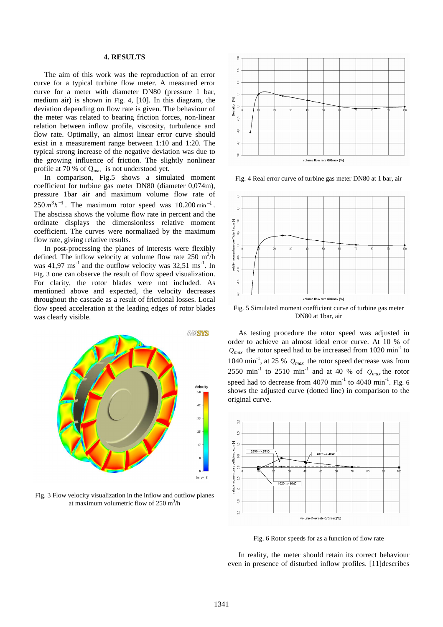## **4. RESULTS**

The aim of this work was the reproduction of an error curve for a typical turbine flow meter. A measured error curve for a meter with diameter DN80 (pressure 1 bar, medium air) is shown in Fig. 4, [10]. In this diagram, the deviation depending on flow rate is given. The behaviour of the meter was related to bearing friction forces, non-linear relation between inflow profile, viscosity, turbulence and flow rate. Optimally, an almost linear error curve should exist in a measurement range between 1:10 and 1:20. The typical strong increase of the negative deviation was due to the growing influence of friction. The slightly nonlinear profile at 70 % of Qmax is not understood yet.

In comparison, Fig.5 shows a simulated moment coefficient for turbine gas meter DN80 (diameter 0,074m), pressure 1bar air and maximum volume flow rate of  $250 \, m^3 h^{-1}$ . The maximum rotor speed was  $10.200 \, \text{min}^{-1}$ . The abscissa shows the volume flow rate in percent and the ordinate displays the dimensionless relative moment coefficient. The curves were normalized by the maximum flow rate, giving relative results.

In post-processing the planes of interests were flexibly defined. The inflow velocity at volume flow rate  $250 \text{ m}^3/\text{h}$ was  $41.97 \text{ ms}^{-1}$  and the outflow velocity was  $32.51 \text{ ms}^{-1}$ . In Fig. 3 one can observe the result of flow speed visualization. For clarity, the rotor blades were not included. As mentioned above and expected, the velocity decreases throughout the cascade as a result of frictional losses. Local flow speed acceleration at the leading edges of rotor blades was clearly visible.



Fig. 3 Flow velocity visualization in the inflow and outflow planes at maximum volumetric flow of  $250 \text{ m}^3/\text{h}$ 



Fig. 4 Real error curve of turbine gas meter DN80 at 1 bar, air



Fig. 5 Simulated moment coefficient curve of turbine gas meter DN80 at 1bar, air

As testing procedure the rotor speed was adjusted in order to achieve an almost ideal error curve. At 10 % of  $Q_{max}$  the rotor speed had to be increased from 1020 min<sup>-1</sup> to 1040 min-1, at 25 % *Qmax* the rotor speed decrease was from 2550 min<sup>-1</sup> to 2510 min<sup>-1</sup> and at 40 % of  $Q_{max}$  the rotor speed had to decrease from  $4070 \text{ min}^{-1}$  to  $4040 \text{ min}^{-1}$ . Fig. 6 shows the adjusted curve (dotted line) in comparison to the original curve.



Fig. 6 Rotor speeds for as a function of flow rate

In reality, the meter should retain its correct behaviour even in presence of disturbed inflow profiles. [11]describes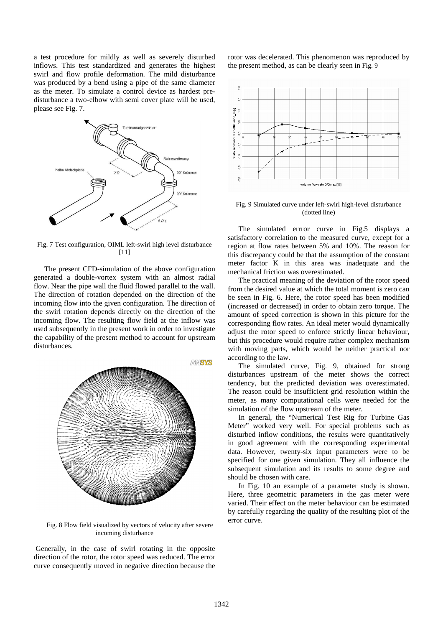a test procedure for mildly as well as severely disturbed inflows. This test standardized and generates the highest swirl and flow profile deformation. The mild disturbance was produced by a bend using a pipe of the same diameter as the meter. To simulate a control device as hardest predisturbance a two-elbow with semi cover plate will be used, please see Fig. 7.



Fig. 7 Test configuration, OIML left-swirl high level disturbance [11]

The present CFD-simulation of the above configuration generated a double-vortex system with an almost radial flow. Near the pipe wall the fluid flowed parallel to the wall. The direction of rotation depended on the direction of the incoming flow into the given configuration. The direction of the swirl rotation depends directly on the direction of the incoming flow. The resulting flow field at the inflow was used subsequently in the present work in order to investigate the capability of the present method to account for upstream disturbances.



Fig. 8 Flow field visualized by vectors of velocity after severe incoming disturbance

 Generally, in the case of swirl rotating in the opposite direction of the rotor, the rotor speed was reduced. The error curve consequently moved in negative direction because the rotor was decelerated. This phenomenon was reproduced by the present method, as can be clearly seen in Fig. 9



Fig. 9 Simulated curve under left-swirl high-level disturbance (dotted line)

The simulated errror curve in Fig.5 displays a satisfactory correlation to the measured curve, except for a region at flow rates between 5% and 10%. The reason for this discrepancy could be that the assumption of the constant meter factor K in this area was inadequate and the mechanical friction was overestimated.

The practical meaning of the deviation of the rotor speed from the desired value at which the total moment is zero can be seen in Fig. 6. Here, the rotor speed has been modified (increased or decreased) in order to obtain zero torque. The amount of speed correction is shown in this picture for the corresponding flow rates. An ideal meter would dynamically adjust the rotor speed to enforce strictly linear behaviour, but this procedure would require rather complex mechanism with moving parts, which would be neither practical nor according to the law.

The simulated curve, Fig. 9, obtained for strong disturbances upstream of the meter shows the correct tendency, but the predicted deviation was overestimated. The reason could be insufficient grid resolution within the meter, as many computational cells were needed for the simulation of the flow upstream of the meter.

In general, the "Numerical Test Rig for Turbine Gas Meter" worked very well. For special problems such as disturbed inflow conditions, the results were quantitatively in good agreement with the corresponding experimental data. However, twenty-six input parameters were to be specified for one given simulation. They all influence the subsequent simulation and its results to some degree and should be chosen with care.

In Fig. 10 an example of a parameter study is shown. Here, three geometric parameters in the gas meter were varied. Their effect on the meter behaviour can be estimated by carefully regarding the quality of the resulting plot of the error curve.